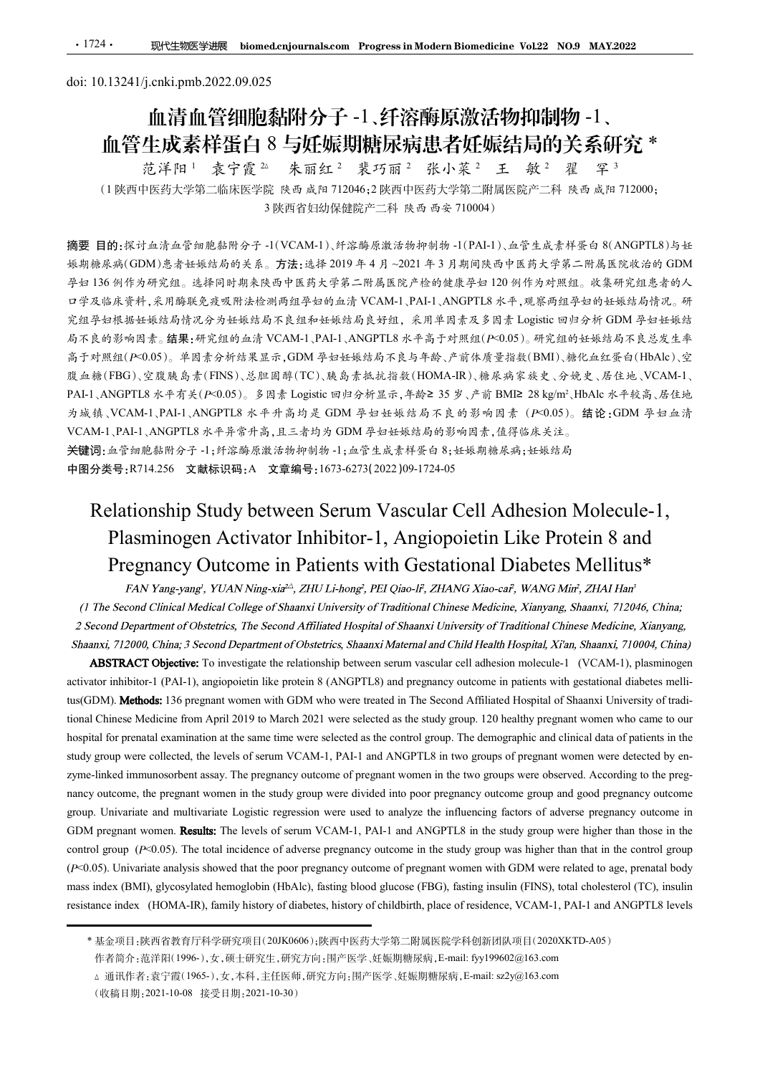# <u>·1724· 现代生物医学进展 biomed.cnjournals.com Progress in Modern Biomedicin</u><br>doi: 10.13241/j.cnki.pmb.2022.09.025<br>血清血管细胞黏附分子 -1、纤溶酶原激活物<br>血管生成素样蛋白 8 与妊娠期糖尿病患者妊娠 血清血管细胞黏附分子 -1、纤溶酶原激活物抑制物 -1、

血管生成素样蛋白 8 与妊娠期糖尿病患者妊娠结局的关系研究 \* 王 敏 <sup>2</sup> 翟 罕 <sup>3</sup> 范洋阳 1 袁宁霞 2 朱丽红 2 裴巧丽 2 张小菜 2 王 敏 2 翟 罕 3 (<sup>1</sup> 陕西中医药大学第二临床医学院陕西 咸阳 <sup>712046</sup>;<sup>2</sup> 陕西中医药大学第二附属医院产二科 陕西 咸阳 <sup>712000</sup>; <sup>3</sup> 陕西省妇幼保健院产二科 陕西 西安 <sup>710004</sup>)

摘要 目的:探讨血清血管细胞黏附分子 -1(VCAM-1)、纤溶酶原激活物抑制物 -1(PAI-1)、血管生成素样蛋白 8(ANGPTL8)与妊 娠期糖尿病(GDM)患者妊娠结局的关系。方法:选择 2019 年 4 月 ~2021 年 3 月期间陕西中医药大学第二附属医院收治的 GDM 孕妇 136 例作为研究组。选择同时期来陕西中医药大学第二附属医院产检的健康孕妇 120 例作为对照组。收集研究组患者的人 口学及临床资料,采用酶联免疫吸附法检测两组孕妇的血清 VCAM-1、PAI-1、ANGPTL8 水平,观察两组孕妇的妊娠结局情况。研 究组孕妇根据妊娠结局情况分为妊娠结局不良组和妊娠结局良好组,采用单因素及多因素 Logistic 回归分析 GDM 孕妇妊娠结 局不良的影响因素。结果:研究组的血清 VCAM-1、PAI-1、ANGPTL8 水平高于对照组(P<0.05)。研究组的妊娠结局不良总发生率 高于对照组(P<0.05)。单因素分析结果显示,GDM 孕妇妊娠结局不良与年龄、产前体质量指数(BMI)、糖化血红蛋白(HbAlc)、空 腹血糖(FBG)、空腹胰岛素(FINS)、总胆固醇(TC)、胰岛素抵抗指数(HOMA-IR)、糖尿病家族史、分娩史、居住地、VCAM-1、 doi: 10.13241万enki.pmb.2022.09.025<br> **血管生成素样蛋白 8 与妊娠期精尿病患者伤病胃的抑制物 -1、<br>血管生成素样蛋白 8 与妊娠期精尿病患者妊娠结局向的关系研究 \*<br>
(1 胰菌中医炎样症 18 号症 / 腺子病 - 乳液分解-- 乳液-- 乳腺障害 - 科 do 或用 712000;<br>
7 花平同: 素子食 \* 来面红 · 养不属 - 养小菜 \* 玉 菜 · 采 \* ?<br>
(1 胰菌中に分子能、医成** PAI-1、ANGPTL8 水平有关(P<0.05)。多因素 Logistic 回归分析显示, 年龄≥ 35 岁、产前 BMI≥ 28 kg/m<sup>2</sup>、HbAlc 水平较高、居住地 为城镇、VCAM-1、PAI-1、ANGPTL8 水平升高均是 GDM 孕妇妊娠结局不良的影响因素 (P<0.05)。结论:GDM 孕妇血清 VCAM-1、PAI-1、ANGPTL8 水平异常升高,且三者均为 GDM 孕妇妊娠结局的影响因素,值得临床关注。 关键词:血管细胞黏附分子 -1;纤溶酶原激活物抑制物 -1;血管生成素样蛋白 8;妊娠期糖尿病;妊娠结局 中图分类号:R714.256 文献标识码:A 文章编号:1673-6273(2022)09-1724-05 (1)陕西中医药大学第二临床医学院 法市 成功 712046;2 陕西中医药大学第二期展院院二二科 法市 成都(NOTTLE)3世<br>
Relationship Study between Study between Serum Vascular Cell Adhesion Molecule-1,<br>
Relationship Study between Study between Server 2010年11, 34名左本大学第二部為医院 的:<br>Kitch - 清全管部总部停子- (IVCAM-1)、纤溶海原装备特种创新- 1,而含定是者并导台 SCANGPTL8)与生<br>
2.成(GDM)急者妊娠结局分系。方法: 这样可 9.4 月 - 2021年3月 期限、1(PAL-1),而含定為去样等台 SCANGPTL8)与生<br>
2.成(GDM)急者妊娠结局分系。方法: 这样可 9.4 月 - 2021年3月 期間限局中医药大学第二带属医院体的 GDM<br>
1) 科学与研究組。选 的:Rivingを自知連結所分子-1(VCAM-1)、貯溶場原装活場中制場-1(PAI-1)、血管主成者将要 6 %ANGPTL3)与比<br>
2.5%(UM) 5.3 分以結晶的失差。方法:注射 2019 キ 4 月, -2021 キ 3 月測同決者中系的大学第二階長度的統計の<br>
2.5%(UM) 5.3 全球結晶的表系。方法:注射 2.9 トントー2.11 - 3 月測同決策所大学第二階長医院統治的 GiM<br>
2.5%(比率)<br>
4.5 f克組的血清 VCAM-1, PAI-1, ANGPTIS 水平系子对照组(*F*×0.05)。研究组的社标格局不良志定生率<br>
素分的技术显示。GDM 学妇社総结构存在与平台、CHNS、企图(BMI)、総化血红蛋白(FBAle)、企<br>
(FINS)、总理国時(TC)、映身者社社指数(HOMA-IR)、旅名資金指数(BMI)、給化血红蛋白(FBAle)、<br> *F*×0.05)。多国素 Logistie 四身分析显示,年龄 2 35 岁、产 activator inhibitor-1 (PAI-1), angiopoietin like protein 8 (ANGPTL8) and pregnancy outcome in patients with gestational diabetes melli-

成点線(FBG)、玄波映島ま(TINS)、基地画等(TC)、航島ま地社指着(HOMA-IR)、橋長秀英統史、分地大学、公社長、<br>
NAMOPTIS 水平方美(F-0.05)。多形をLOMISON SPR の子が結合系、FPR 25 9 大学、F-前 DME 28 kg/m/, HOMA-IR)<br>
2018 統、VCAM-1, PAD-1, ANGPITES 水平 青海片 高向減 GDM 平立統格局で 25 9 大統 BMB で 28 k PALI , ANGPILS 水平有点(P-0.05)。多到责 Lugistic 型导分析显示,共参2 35 岁, 产前 DMR 28 kg/m", llbAlk 水平截 , 及往<br>
29 成绩, VCAM-L,PALI , ANGPITES 水平并有均为 及 ODM 学 电坐标系与不良的 型合的 易责 (P-0.05)。 錯论 CAM-2-<br>
VCAM-L,PALI ,ANGPITES 水平并有与其主为为 (TMM 平显标器有两子有言 hospital for prenatal examination at the same time were selected as the control group. The demographic and clinical data of patients in the VCAL-1, PAIC (1761–1, ARCHT 8  $s \neq 0$ ,  $\beta$ )  $\pm 2$ ,  $\beta$ ,  $\gamma$  (5)  $6$  (1761–1,  $\beta$ ),  $\beta$  (1761–1,  $\beta$ ),  $\beta$  (1761–1,  $\beta$ ),  $\beta$  (1761–1,  $\beta$ ),  $\beta$  (1761–1,  $\beta$ ),  $\beta$  (1761–1,  $\gamma$ ),  $\beta$  (1761–1,  $\gamma$ ),  $\beta$  Relationship Study between Serum Vascular Cell Adhesion Molecule-1,<br>
Plasminogen Activator Inhibitor-1, Angiopoietin Like Protein 8 and<br>
Pregnancy Outcome in Patients with Gestational Diabetes Mellitus\*<br>
FAN Yang-gray TVA Relationship Study between Serum Vascular Cell Adhesion Molecule-1,<br>
Plasminogen Activator Inhibitor-1, Angiopoietin Like Protein 8 and<br>
Pregnancy Outcome in Patients with Gestational Diabetes Mellitus\*<br>
FAN Yang-yang, YU **Plasminogen Activator Inhibitor-1**, Angiopoietin Like Protein 8 and<br>Pregnancy Outcome in Patients with Gestational Diabetes Mellitus\*<br>*FAN Yang-yang*, YUAN Ning-va<sup>2</sup>, ZHU Li-hong<sup>2</sup>, PFI Qiao-F, ZHANG Xiao-car, WANG Mir PIASHIMORED ACTIVATOF INITIONT-1, ANDODOEEDIN LIKE PTOTENT 8 AND<br>
Pregnancy Outcome in Patients with Gestational Diabets And  $\mu$ ,  $\mu$  and  $\mu$  and  $\mu$  and  $\mu$  and  $\mu$  and  $\mu$  and  $\mu$  and  $\mu$  and  $\mu$  and  $\mu$  and **Pregnancy Outcome in Patients with Gestational Diabetes Mellitus\***<br>
FAN Yang-sang, YUAN Ning-sin<sup>2</sup>, ZHU Li-hong, FEI Qias-H, ZHANG Xias-cai, WANG Min', ZHAI Han'<br>
(*I The Second Dialpath Medical College of Shanza Univer* FAN Yang-yang', YUAN Ning-xin<sup>2+</sup>, ZHU Li-hong', PEI Qiao-II, ZHANG Xiao-car, WANG Mir, ZHAH Har'<br>
(1 The Second Chinical Medical Colege of Shanaxi University of Traditional Chinese Medicine, Xianyang, Shaanxi, 712066. Ch cond *Department of Oceancers. The second Department of Obstetrics. Shaama Maternal and Child Hotelih (For although and Department of Obstetrics. Shaama Maternal and Child Hotelih Depiration Child Department of Obstetric* (*X.12000, Channel 3*. Second *Department* of OtoSteros: Shanari Makerlan and Chinal Hospital, Xran, Shanari (*XIMA*, *Lama*), *(1966)*, *Camali*), phasminogen<br> **ABSTRACT Objective:** To investigate the relationship betwee

<sup>(</sup>收稿日期:2021-10-08 接受日期:2021-10-30)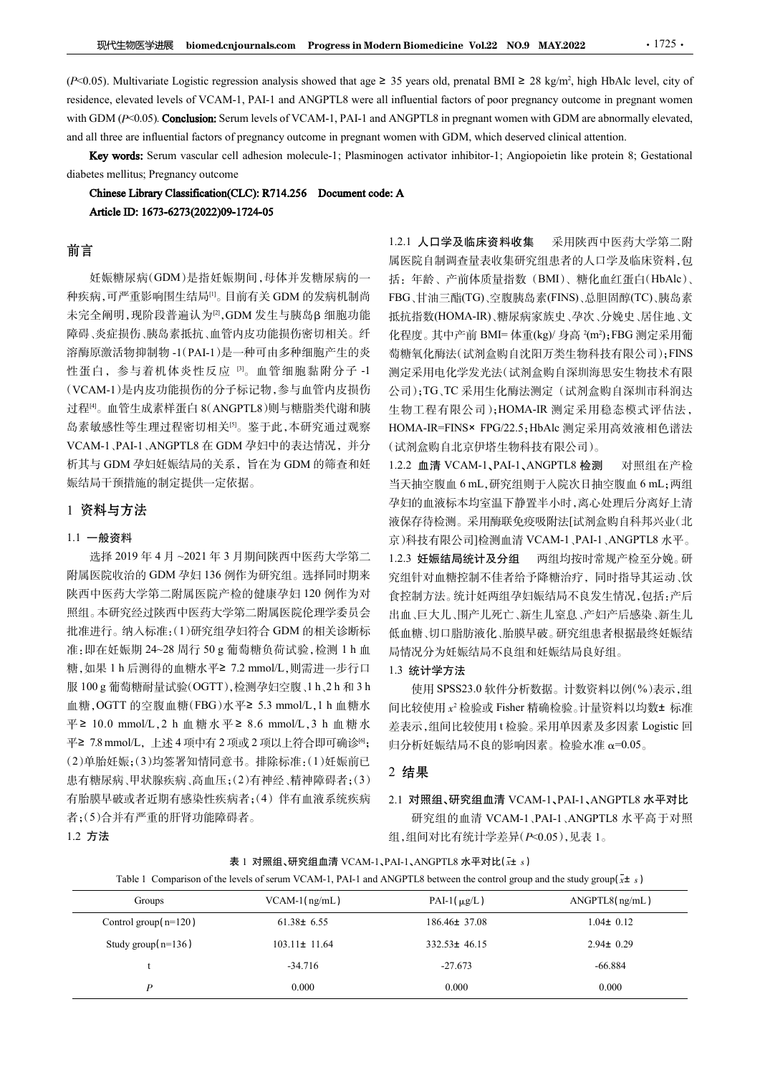$\mathbb{R}$ 代生物医学进展 biomed.cnjournals.com Progress in Modern Biomedicine Vol.22 NO.9 MAY.2022 · 1725 · 1725 · 1725 · 1725 · 1725 · 1725 · 1725 · 1725 · 1725 · 1725 · 1725 · 1725 · 1725 · 1725 · 1725 · 1725 · 1725 · 1725 · 1 022 1725<br>
1725<br>
1725<br>
1725<br>
1, high HbAlc level, city of<br>
1<br>
1 attention<br>
1<br>
1 attention.<br>
1<br>
like protein 8; Gestational **现代生物医学进展 biomed.cnjournals.com Progress in Modern Biomedicine Vol.22 NO.9 MAY.2022** 1725 1.<br>
(P<0.05). Multivariate Logistic regression analysis showed that age ≥ 35 years old, prenatal BMI ≥ 28 kg/m<sup>2</sup>, high HbAlc lev WHE VERTHE **LETT CONDUM (PERTHER CONDUM ACTS)** WERE THE VERTHER (P-0.05). Multivariate Logistic regression analysis showed that age  $\geq 35$  years old, prenatal BMI  $\geq 28$  kg/m<sup>2</sup>, high HbAlc level, city of residence, e and all three are influential factors of pregnancy outcome in pregnant women with GDM, which deserved clinical attention. SERUM variables the molecule-1; Plasminogen activator inhibitor-1; Angiopoietin like proteins of procession analysis showed that age  $\geq 35$  years old, prenatal BMI  $\geq 28$  kg/m<sup>2</sup>, high HbAle level, city of dlevels of **现代生物医学进展** biomed.cnjournals.com Progress in Modern Biomedicine Vol.22 NO.9 MAY.2022<br>
(P<0.05). Multivariate Logistic regression analysis showed that age ≥ 35 years old, prenatal BMI ≥ 28 kg/m<sup>2</sup>, high Hb.<br>
residence, el

## 前言

妊娠糖尿病(GDM)是指妊娠期间,母体并发糖尿病的一 种疾病,可严重影响围生结局[1]。目前有关 GDM 的发病机制尚 未完全阐明,现阶段普遍认为[2], GDM 发生与胰岛β 细胞功能 障碍、炎症损伤、胰岛素抵抗、血管内皮功能损伤密切相关。纤 溶酶原激活物抑制物 -1(PAI-1)是一种可由多种细胞产生的炎 性蛋白,参与着机体炎性反应 [3]。血管细胞黏附分子 -1 (VCAM-1)是内皮功能损伤的分子标记物,参与血管内皮损伤 过程[4]。血管生成素样蛋白 8(ANGPTL8)则与糖脂类代谢和胰 岛素敏感性等生理过程密切相关[5]。鉴于此,本研究通过观察 VCAM-1、PAI-1、ANGPTL8 在 GDM 孕妇中的表达情况,并分 析其与 GDM 孕妇妊娠结局的关系,旨在为 GDM 的筛查和妊 1.2.2 血清 VCAM-1、PAI-1、ANGPTL8 检测 对照组在产检 娠结局干预措施的制定提供一定依据。

### 1 资料与方法

### 1.1 一般资料

1.2 方法

选择 2019年4月~2021年3月期间陕西中医药大学第二 1.2.3 妊娠结局统计及分组 附属医院收治的 GDM 孕妇 136 例作为研究组。选择同时期来 陕西中医药大学第二附属医院产检的健康孕妇 120 例作为对 照组。本研究经过陕西中医药大学第二附属医院伦理学委员会 批准进行。纳入标准:(1)研究组孕妇符合 GDM 的相关诊断标 6%。<br>高期原源活物抑制等1(PAI-1)是一种可止多种细胞学。5、一位在2。只PD 的Mini-Facebury 5时,最后,参与有限公司。<br>高度原源活物抑制等1(PAI-1)是一种可止多种细胞学生的炎。有限公式指示信息和监管与管制监督安全物技术,<br>性医自、参与者机体炎性反应。。血管细胞黏附分子 1 测定采用电化学发光纤(试剂盒喷自溶期障量安电物引降)<br>比重量、最大的及项配携的分子标记物。参与值管内及损伤,每一位了工家进生化 <sup>服</sup> 100 g 葡萄糖耐量试验(OGTT),检测孕妇空腹、1 h、2 h <sup>和</sup> 3 h "a 3" → 5.3 mmol/L,1 h m mole and a map of the main of a map of the main of the main of the main of the main of the main of the main of the main of the main of the main of the main of the main of the main of the main of い2000年、10.0 mmol/L,2 h 血管水平 2.0 mmol/L,2 h 血管系反射,10.0 mmol/L,1 h 血管系及空间下,100.0 mmol/L,1 mmol/L,1 mmol/L,1 mmol/L,1 mmol/L,1 mmol/L,1 h 血管水液 4.6 mmol/L,1 h 血管水液 4.6 mmol/L,1 h 血管大学化学系 10.0 mmol/L,1 h 血管大学化学系 10.0 mmol/L, 2.4 。 血上或解出量1.8 mln类的。 主创工程管理者 2 mmol/L,2 h 血糖水平 2 可以比較使用,使用 5 mmol/L,上述 4 项中有 2 项、指令指标、同时提供用、指标 2 项目<br>5.8 输出率生理过程密切相关<sup>B</sup>。 鉴于此,本研究通过观察 HOMA-IR-FINS× FPG(22.5<br>VCAM-1,PAI-1,ANGPTL8 在 GDM 孕妇中的表达情况,并分 (试剂盒购自北京伊塔生物)<br>析片与 GDM 孕 (2)单胎妊娠;(3)均签署知情同意书。排除标准:(1)妊娠前已 患有糖尿病、甲状腺疾病、高血压;(2)有神经、精神障碍者;(3) 有胎膜早破或者近期有感染性疾病者;(4)伴有血液系统疾病 者;(5)合并有严重的肝肾功能障碍者。 2019 年 4 月 ~2021 年 3 月期间陕西中医岩大学第二 — 1.2.3 妊娠者局辖林及分组 一两组均度同常规产程公司 6 国外公司 1 Comparison of the level of server of serum VCAM-1, 同时需要,以前的<br>大学第二期 国家产格的健康及过,通择同时期来,实践时才能、统计存在最大工程标准的产品,同时需要从运费、实际、服务、实际、服务、公司、公司、公司、公司、公司、公司、公司、公司 Groups VCAM-1(ng/mL) PAI-1(滋g/L) ANGPTL8(ng/mL)

',GDM 发生与胰岛β 细胞功能 抵抗指数(HOMA-IR)、糖尿病家族史、孕次、分娩史、居住地、文 1.2.1 人口学及临床资料收集 采用陕西中医药大学第二附 属医院自制调查量表收集研究组患者的人口学及临床资料,包 括:年龄、产前体质量指数(BMI)、糖化血红蛋白(HbAlc)、 FBG、甘油三酯(TG)、空腹胰岛素(FINS)、总胆固醇(TC)、胰岛素 化程度。 其中产前 BMI= 体重(kg)/ 身高 -(m2); FBG 测定采用葡 萄糖氧化酶法(试剂盒购自沈阳万类生物科技有限公司);FINS 测定采用电化学发光法(试剂盒购自深圳海思安生物技术有限 公司);TG、TC 采用生化酶法测定(试剂盒购自深圳市科润达 生物工程有限公司);HOMA-IR 测定采用稳态模式评估法, HOMA-IR=FINS× FPG/22.5;HbAlc 测定采用高效液相色谱法 (试剂盒购自北京伊塔生物科技有限公司)。 当天抽空腹血 6 mL,研究组则于入院次日抽空腹血 6 mL;两组

\*2.25.18%;病毒时间的,12.25 mm, 12.25 mm, 12.25 mm, 12.25 mm, 12.25 mm, 12.25 g 输出最低的。12.25 g 输出最低的。12.25 g 输出最低的。12.25 g 输出最低的。12.25 g 输出最后的。12.25 g 输出最后,25 g m 12.25 g 输出最后,25 g m 12.25 g m 12.25 g m 12.25 g m 12.25 g m 12. 1.2.2 血清 VCAM-1、PAI-1、ANGPTL8 检测 孕妇的血液标本均室温下静置半小时,离心处理后分离好上清 液保存待检测。采用酶联免疫吸附法[试剂盒购自科邦兴业(北 京)科技有限公司]检测血清 VCAM-1、PAI-1、ANGPTL8 水平。 两组均按时常规产检至分娩。研 究组针对血糖控制不佳者给予降糖治疗,同时指导其运动、饮 食控制方法。统计妊两组孕妇娠结局不良发生情况,包括:产后 出血、巨大儿、围产儿死亡、新生儿窒息、产妇产后感染、新生儿 低血糖、切口脂肪液化、胎膜早破。研究组患者根据最终妊娠结 局情况分为妊娠结局不良组和妊娠结局良好组。

### 1.3 统计学方法

### 2 结果

### 2.1 对照组、研究组血清 VCAM-1、PAI-1、ANGPTL8 水平对比

| Table 1 Comparison of the levels of serum VCAM-1, PAI-1 and ANGPTL8 between the control group and the study group( $x\pm s$ |  |  |
|-----------------------------------------------------------------------------------------------------------------------------|--|--|
|-----------------------------------------------------------------------------------------------------------------------------|--|--|

| 陕西中医药大学第二附属医院产检的健康孕妇 120 例作为对                                        |                    | 食控制方法。统计妊两组孕妇娠结局不良发生情况,包括:产后                                                                                                                                                                                                                                                 |
|----------------------------------------------------------------------|--------------------|------------------------------------------------------------------------------------------------------------------------------------------------------------------------------------------------------------------------------------------------------------------------------|
| 照组。本研究经过陕西中医药大学第二附属医院伦理学委员会                                          |                    | 出血、巨大儿、围产儿死亡、新生儿窒息、产妇产后感染、新生儿                                                                                                                                                                                                                                                |
| 批准进行。纳入标准:(1)研究组孕妇符合 GDM 的相关诊断标                                      |                    | 低血糖、切口脂肪液化、胎膜早破。研究组患者根据最终妊娠结                                                                                                                                                                                                                                                 |
| 准:即在妊娠期 24~28 周行 50 g 葡萄糖负荷试验,检测 1 h 血                               |                    |                                                                                                                                                                                                                                                                              |
| 糖,如果 1 h 后测得的血糖水平≥ 7.2 mmol/L,则需进一步行口                                | 1.3 统计学方法          |                                                                                                                                                                                                                                                                              |
| 服 100 g 葡萄糖耐量试验(OGTT),检测孕妇空腹、1 h、2 h 和 3 h                           |                    | 使用 SPSS23.0 软件分析数据。计数资料以例(%)表示,组                                                                                                                                                                                                                                             |
| 血糖,OGTT 的空腹血糖(FBG)水平≥ 5.3 mmol/L,1 h 血糖水                             |                    | 间比较使用 x2 检验或 Fisher 精确检验。计量资料以均数± 标准                                                                                                                                                                                                                                         |
| 平≥ 10.0 mmol/L,2 h 血糖水平≥ 8.6 mmol/L,3 h 血糖水                          |                    | 差表示,组间比较使用t检验。采用单因素及多因素 Logistic 回                                                                                                                                                                                                                                           |
| 平≥ 7.8 mmol/L, 上述4项中有2项或2项以上符合即可确诊 <sup>[6]</sup> ;                  |                    |                                                                                                                                                                                                                                                                              |
| (2)单胎妊娠;(3)均签署知情同意书。排除标准:(1)妊娠前已<br>患有糖尿病、甲状腺疾病、高血压;(2)有神经、精神障碍者;(3) | 2 结果               |                                                                                                                                                                                                                                                                              |
| 有胎膜早破或者近期有感染性疾病者;(4)伴有血液系统疾病                                         |                    | 2.1 对照组、研究组血清 VCAM-1、PAI-1、ANGPTL8 水平对比                                                                                                                                                                                                                                      |
| 者;(5)合并有严重的肝肾功能障碍者。                                                  |                    | 研究组的血清 VCAM-1、PAI-1、ANGPTL8 水平高于对照                                                                                                                                                                                                                                           |
|                                                                      |                    |                                                                                                                                                                                                                                                                              |
|                                                                      |                    |                                                                                                                                                                                                                                                                              |
|                                                                      |                    |                                                                                                                                                                                                                                                                              |
| $VCAM-1(ng/mL)$                                                      | PAI-1( $\mu$ g/L)  | ANGPTL8(ng/mL)                                                                                                                                                                                                                                                               |
| $61.38 \pm 6.55$                                                     | 186.46± 37.08      | $1.04 \pm 0.12$                                                                                                                                                                                                                                                              |
| $103.11 \pm 11.64$                                                   | $332.53 \pm 46.15$ | $2.94 \pm 0.29$                                                                                                                                                                                                                                                              |
| $-34.716$                                                            | $-27.673$          | $-66.884$                                                                                                                                                                                                                                                                    |
|                                                                      | 0.000              | 0.000                                                                                                                                                                                                                                                                        |
|                                                                      |                    | 局情况分为妊娠结局不良组和妊娠结局良好组。<br>归分析妊娠结局不良的影响因素。检验水准α=0.05。<br>组,组间对比有统计学差异(P<0.05),见表 1。<br>表 1 对照组、研究组血清 VCAM-1、PAI-1、ANGPTL8 水平对比(x+ s)<br>Table 1 Comparison of the levels of serum VCAM-1, PAI-1 and ANGPTL8 between the control group and the study group( $\overline{x}$ ± s) |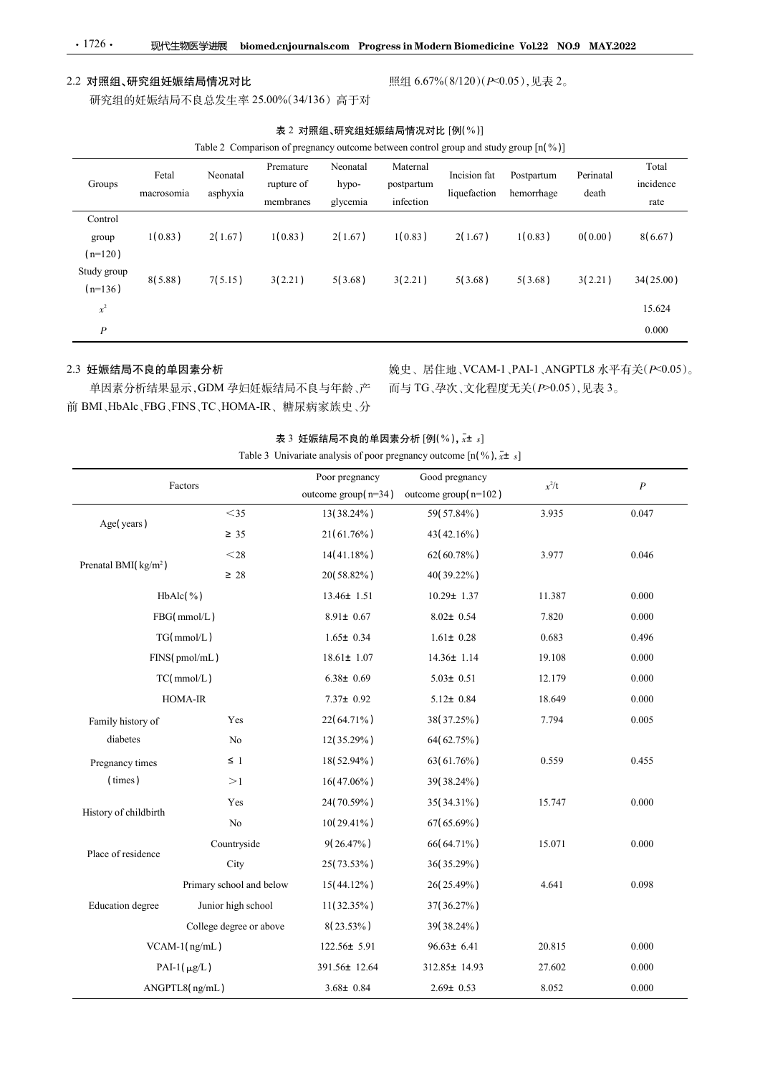### 2.2 对照组、研究组妊娠结局情况对比

|            |          | Table 2 Comparison of pregnancy outcome between control group and study group $\lceil n \binom{9}{2} \rceil$ |               |            |              |            |           |                       |
|------------|----------|--------------------------------------------------------------------------------------------------------------|---------------|------------|--------------|------------|-----------|-----------------------|
|            |          | Premature                                                                                                    | Neonatal      | Maternal   |              |            |           | Total                 |
| Fetal      | Neonatal | rupture of                                                                                                   | hypo-         | postpartum | Incision fat | Postpartum | Perinatal | $\cdots$<br>incidence |
| nacrosomia | asphyxia |                                                                                                              |               |            | liquefaction | hemorrhage | death     |                       |
|            |          |                                                                                                              | ومعموم وبالور | In fact on |              |            |           | $\cdots$              |

|                                           | 2 对照组、研究组妊娠结局情况对比   |                      |                                                                                                                                                                                               |                                            |                                     |                                           | 照组 6.67%(8/120)(P<0.05),见表 2。         |                    |                                           |
|-------------------------------------------|---------------------|----------------------|-----------------------------------------------------------------------------------------------------------------------------------------------------------------------------------------------|--------------------------------------------|-------------------------------------|-------------------------------------------|---------------------------------------|--------------------|-------------------------------------------|
|                                           |                     |                      | 研究组的妊娠结局不良总发生率 25.00%(34/136) 高于对                                                                                                                                                             |                                            |                                     |                                           |                                       |                    |                                           |
|                                           |                     |                      | Table 2 Comparison of pregnancy outcome between control group and study group [n(%)]                                                                                                          | 表 2 对照组、研究组妊娠结局情况对比 [例(%)]                 |                                     |                                           |                                       |                    |                                           |
| Groups                                    | Fetal<br>macrosomia | Neonatal<br>asphyxia | Premature<br>rupture of<br>membranes                                                                                                                                                          | Neonatal<br>hypo-<br>glycemia              | Maternal<br>postpartum<br>infection | Incision fat                              | Postpartum<br>liquefaction hemorrhage | Perinatal<br>death | Total<br>incidence<br>rate                |
| Control<br>group<br>$(n=120)$             | 1(0.83)             | 2(1.67)              | 1(0.83)                                                                                                                                                                                       | 2(1.67)                                    | 1(0.83)                             | 2(1.67)                                   | 1(0.83)                               | 0(0.00)            | 8(6.67)                                   |
| Study group<br>$(n=136)$                  | 8(5.88)             | 7(5.15)              | 3(2.21)                                                                                                                                                                                       | 5(3.68)                                    | 3(2.21)                             | 5(3.68)                                   | 5(3.68)                               | 3(2.21)            | 34(25.00)                                 |
| $\boldsymbol{\chi}^2$<br>$\boldsymbol{P}$ |                     |                      |                                                                                                                                                                                               |                                            |                                     |                                           |                                       |                    | 15.624<br>0.000                           |
|                                           | 3 妊娠结局不良的单因素分析      |                      | 单因素分析结果显示, GDM 孕妇妊娠结局不良与年龄、产 而与 TG、孕次、文化程度无关(P>0.05), 见表 3。<br>iBMI、HbAlc、FBG、FINS、TC、HOMA-IR、糖尿病家族史、分<br>Table 3 Univariate analysis of poor pregnancy outcome $[n(\%), \overline{x} \pm s]$ | 表 3 妊娠结局不良的单因素分析 $[\Theta($ %), $x$ ± $s]$ |                                     |                                           |                                       |                    | 娩史、居住地、VCAM-1、PAI-1、ANGPTL8 水平有关(P<0.05)。 |
|                                           | Factors             |                      |                                                                                                                                                                                               | Poor pregnancy<br>outcome group $(n=34)$   |                                     | Good pregnancy<br>outcome group $(n=102)$ | $x^2/t$                               |                    | $\boldsymbol{P}$                          |
| Age(years)                                |                     | $<$ 35<br>$\geq 35$  |                                                                                                                                                                                               | 13(38.24%)<br>21(61.76%)                   |                                     | 59(57.84%)<br>43(42.16%)                  | 3.935                                 |                    | 0.047                                     |
| Prenatal BMI(kg/m <sup>2</sup> )          |                     | $<$ 28 $\,$          |                                                                                                                                                                                               | 14(41.18%)                                 |                                     | 62(60.78%)                                | 3.977                                 |                    | 0.046                                     |
|                                           | HhAlc(% )           | $\geq 28$            |                                                                                                                                                                                               | 20(58.82%)<br>$13.46 + 1.51$               |                                     | 40(39.22%)<br>$10.29 + 1.37$              | 11 387                                |                    | 0.000                                     |

### 2.3 妊娠结局不良的单因素分析

| 表 3 妊娠结局不良的单因素分析 [例(%), $\vec{x}$ ± $s$ ] |
|-------------------------------------------|
|-------------------------------------------|

|                                  |                                          | memoranes | giycemia          | iniection                                                                           |                  |         |         | rate                                      |
|----------------------------------|------------------------------------------|-----------|-------------------|-------------------------------------------------------------------------------------|------------------|---------|---------|-------------------------------------------|
| Control                          |                                          |           |                   |                                                                                     |                  |         |         |                                           |
| group<br>$(n=120)$               | 1(0.83)<br>2(1.67)                       | 1(0.83)   | 2(1.67)           | 1(0.83)                                                                             | 2(1.67)          | 1(0.83) | 0(0.00) | 8(6.67)                                   |
| Study group<br>$(n=136)$         | 7(5.15)<br>8(5.88)                       | 3(2.21)   | 5(3.68)           | 3(2.21)                                                                             | 5(3.68)          | 5(3.68) | 3(2.21) | 34(25.00)                                 |
| $\boldsymbol{x}^2$               |                                          |           |                   |                                                                                     |                  |         |         | 15.624                                    |
| $\boldsymbol{P}$                 |                                          |           |                   |                                                                                     |                  |         |         | 0.000                                     |
|                                  |                                          |           |                   |                                                                                     |                  |         |         |                                           |
| 2.3 妊娠结局不良的单因素分析                 |                                          |           |                   |                                                                                     |                  |         |         | 娩史、居住地、VCAM-1、PAI-1、ANGPTL8 水平有关(P<0.05)。 |
|                                  | 单因素分析结果显示, GDM 孕妇妊娠结局不良与年龄、产             |           |                   | 而与TG、孕次、文化程度无关(P>0.05),见表 3。                                                        |                  |         |         |                                           |
|                                  | 前 BMI、HbAlc、FBG、FINS、TC、HOMA-IR、糖尿病家族史、分 |           |                   |                                                                                     |                  |         |         |                                           |
|                                  |                                          |           |                   | 表 3 妊娠结局不良的单因素分析 $[\mathfrak{M}(%),x_{\pm s}]$                                      |                  |         |         |                                           |
|                                  |                                          |           |                   | Table 3 Univariate analysis of poor pregnancy outcome $[n(\%), \overline{x} \pm s]$ |                  |         |         |                                           |
|                                  | Factors                                  |           | Poor pregnancy    |                                                                                     | Good pregnancy   | $x^2/t$ |         |                                           |
|                                  |                                          |           |                   | outcome group( $n=34$ ) outcome group( $n=102$ )                                    |                  |         |         | $\boldsymbol{P}$                          |
| Age(years)                       | $<$ 35                                   |           | 13(38.24%)        |                                                                                     | 59(57.84%)       | 3.935   |         | 0.047                                     |
|                                  | $\geq$ 35                                |           | 21(61.76%)        |                                                                                     | $43(42.16\%)$    |         |         |                                           |
| Prenatal BMI(kg/m <sup>2</sup> ) | $<$ 28                                   |           | $14(41.18\%)$     |                                                                                     | $62(60.78\%)$    | 3.977   |         | 0.046                                     |
|                                  | $\geq 28$                                |           | 20(58.82%)        |                                                                                     | 40(39.22%)       |         |         |                                           |
|                                  | $HbAlc$ (%)                              |           | $13.46 \pm 1.51$  |                                                                                     | $10.29 \pm 1.37$ | 11.387  |         | 0.000                                     |
|                                  | FBG(mmol/L)                              |           | $8.91 \pm 0.67$   |                                                                                     | $8.02 \pm 0.54$  | 7.820   |         | 0.000                                     |
|                                  | TG(mmol/L)                               |           | $1.65 \pm 0.34$   |                                                                                     | $1.61 \pm 0.28$  | 0.683   |         | 0.496                                     |
|                                  | FINS(pmol/mL)                            |           | $18.61 \pm 1.07$  |                                                                                     | $14.36 \pm 1.14$ | 19.108  |         | 0.000                                     |
|                                  | TC(mmol/L)                               |           | $6.38 \pm 0.69$   |                                                                                     | $5.03 \pm 0.51$  | 12.179  |         | 0.000                                     |
|                                  | HOMA-IR                                  |           | $7.37 \pm 0.92$   |                                                                                     | $5.12 \pm 0.84$  | 18.649  |         | 0.000                                     |
| Family history of                | Yes                                      |           | 22(64.71%)        |                                                                                     | 38(37.25%)       | 7.794   |         | 0.005                                     |
| diabetes                         | $\rm No$                                 |           | 12(35.29%)        |                                                                                     | 64(62.75%)       |         |         |                                           |
| Pregnancy times                  | $\leq 1$                                 |           | 18(52.94%)        |                                                                                     | 63(61.76%)       | 0.559   |         | 0.455                                     |
| (times)                          | $>\!1$                                   |           | $16(47.06\%)$     |                                                                                     | 39(38.24%)       |         |         |                                           |
| History of childbirth            | Yes                                      |           | 24(70.59%)        |                                                                                     | 35(34.31%)       | 15.747  |         | 0.000                                     |
|                                  | ${\rm No}$                               |           | $10(29.41\%)$     |                                                                                     | 67(65.69%)       |         |         |                                           |
| Place of residence               | Countryside                              |           | $9(26.47\%)$      |                                                                                     | 66(64.71%)       | 15.071  |         | 0.000                                     |
|                                  | City                                     |           | 25(73.53%)        |                                                                                     | 36(35.29%)       |         |         |                                           |
|                                  | Primary school and below                 |           | $15(44.12\%)$     |                                                                                     | 26(25.49%)       | 4.641   |         | 0.098                                     |
| Education degree                 | Junior high school                       |           | $11(32.35\%)$     |                                                                                     | 37(36.27%)       |         |         |                                           |
|                                  | College degree or above                  |           | 8(23.53%)         |                                                                                     | 39(38.24%)       |         |         |                                           |
|                                  | VCAM-1(ng/mL)                            |           | $122.56 \pm 5.91$ |                                                                                     | $96.63 \pm 6.41$ | 20.815  |         | 0.000                                     |
|                                  | PAI-1( $\mu$ g/L)                        |           | 391.56± 12.64     |                                                                                     | 312.85± 14.93    | 27.602  |         | 0.000                                     |
|                                  | ANGPTL8(ng/mL)                           |           | $3.68 \pm 0.84$   |                                                                                     | $2.69 \pm 0.53$  | 8.052   |         | $0.000\,$                                 |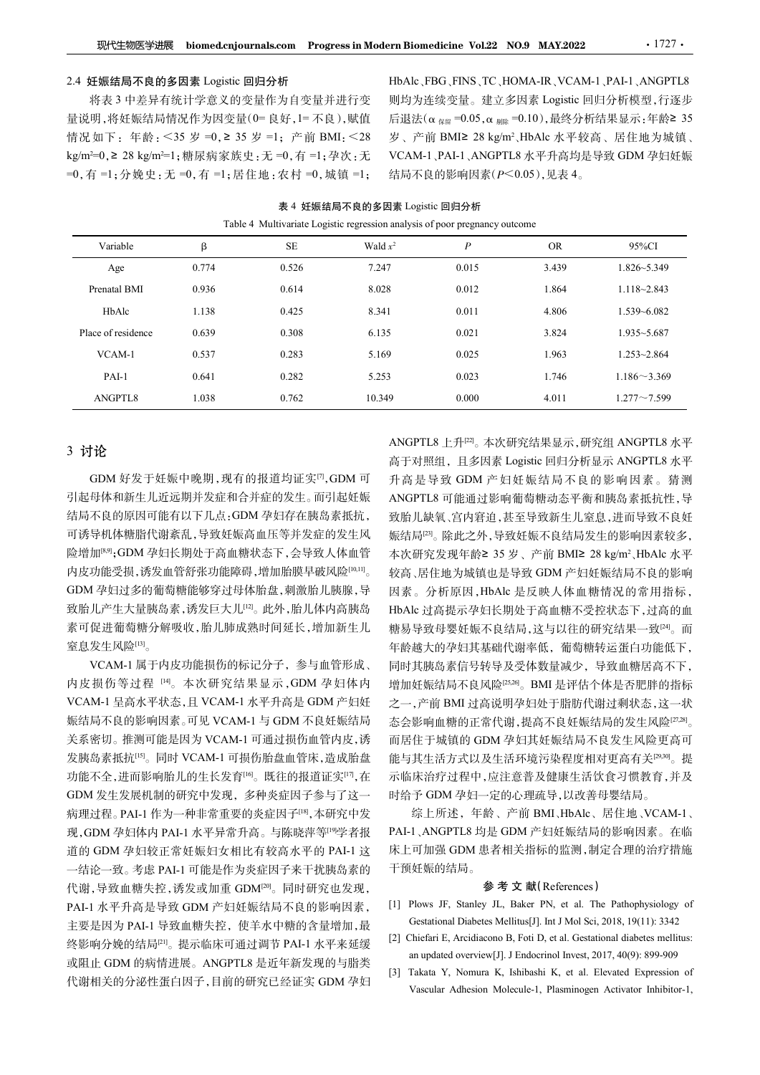### 2.4 妊娠结局不良的多因素 Logistic 回归分析

将表 3 中差异有统计学意义的变量作为自变量并进行变 量说明,将妊娠结局情况作为因变量(0= 良好,1= 不良),赋值 情况如下:年龄:<35 岁 =0,≥ 35 岁 =1;产前 BMI:<28 **现代生物医学进展 biomed.cnjournals.com Progress in Modern Biomedicine Vol.22 NO.9 MA**<br>
2.4 妊娠结局不良的多因素 Logistic 回归分析 HbAlc、FBG、FINS、TC、HOMA-IR、<br>
将表 3 中差异有统计学意义的变量作为自变量并进行变 则均为连续变量。建立多因素 Lo<br>
量说明、将妊娠结局情况作为因变量(0= 良好、1= 不良),赋值 =0,有 =1;分娩史:无 =0,有 =1;居住地:农村 =0,城镇 =1;

HbAlc、FBG、FINS、TC、HOMA-IR、VCAM-1、PAI-1、ANGPTL8 则均为连续变量。建立多因素 Logistic 回归分析模型,行逐步 后退法(α  $_{R8I}$  =0.05,α  $_{M1R}$  =0.10),最终分析结果显示:年龄≥ 35 ern Biomedicine Vol.22 NO.9 MAY.2022 · 1727 ·<br>HbAlc、FBG、FINS、TC、HOMA-IR、VCAM-1、PAI-1、ANGPTL8<br>则均为连续变量。建立多因素 Logistic 回归分析模型,行逐步<br>后退法(α <sub>條和</sub> =0.05,α <sub>绷除</sub> =0.10),最终分析结果显示:年龄≥ 35<br>岁、产前 BMI≥ 28 kg/m<sup>2</sup>、HbAlc 水平较高、居住地为城镇、<br>VCAM-岁、产前 BMI≥ 28 kg/m<sup>2</sup>、HbAlc 水平较高、居住地为城镇、 VCAM-1、PAI-1、ANGPTL8 水平升高均是导致 GDM 孕妇妊娠 结局不良的影响因素(P<0.05),见表 4。 Vol.22 NO.9 MAY.2022 · 1727 ·<br>
NS、TC、HOMA-IR、VCAM-1、PAI-1、ANGPTL8<br>
Le。建立多因素 Logistic 回归分析模型, 行逐步<br>
0.05,  $\alpha$  <sub>馴除</sub> =0.10), 最终分析结果显示: 年齢2 35<br>
2 28 kg/m<sup>2</sup>, HbAlc 水平较高、居住地为城镇、<br>
ANGPTL8 水平升高均是导致 GDM 孕妇妊娠<br>
同因素(P<0.05), 见表 4。<br>

| 现代生物医学进展                                                                  |         |       | biomed.cnjournals.com Progress in Modern Biomedicine Vol.22 NO.9 MAY.2022   |                         |           | $\cdot$ 1727 $\cdot$                                                  |
|---------------------------------------------------------------------------|---------|-------|-----------------------------------------------------------------------------|-------------------------|-----------|-----------------------------------------------------------------------|
| 2.4 妊娠结局不良的多因素 Logistic 回归分析                                              |         |       |                                                                             |                         |           | HbAlc FBG FINS TC HOMA-IR VCAM-1 PAI-1 ANGPTL8                        |
| 将表3中差异有统计学意义的变量作为自变量并进行变                                                  |         |       |                                                                             |                         |           | 则均为连续变量。建立多因素 Logistic 回归分析模型,行逐步                                     |
| 量说明,将妊娠结局情况作为因变量(0=良好,1=不良),赋值                                            |         |       |                                                                             |                         |           | 后退法(α <sub>保留</sub> = 0.05, α <sub>剔除</sub> = 0.10), 最终分析结果显示: 年龄≥ 35 |
| 清况如下: 年龄: <35 岁 =0, ≥ 35 岁 =1; 产前 BMI: <28                                |         |       |                                                                             |                         |           | 岁、产前 BMI≥ 28 kg/m <sup>2</sup> 、HbAlc 水平较高、居住地为城镇、                    |
| cg/m <sup>2=0</sup> , ≥ 28 kg/m <sup>2=1</sup> ;糖尿病家族史: 无 =0, 有 =1; 孕次: 无 |         |       |                                                                             |                         |           | VCAM-1、PAI-1、ANGPTL8 水平升高均是导致 GDM 孕妇妊娠                                |
| =0, 有 =1; 分娩史: 无 =0, 有 =1; 居住地: 农村 =0, 城镇 =1;                             |         |       |                                                                             | 结局不良的影响因素(P<0.05),见表 4。 |           |                                                                       |
|                                                                           |         |       |                                                                             |                         |           |                                                                       |
|                                                                           |         |       | 表 4 妊娠结局不良的多因素 Logistic 回归分析                                                |                         |           |                                                                       |
|                                                                           |         |       | Table 4 Multivariate Logistic regression analysis of poor pregnancy outcome |                         |           |                                                                       |
| Variable                                                                  | $\beta$ | SE    | Wald $x^2$                                                                  | $\boldsymbol{P}$        | <b>OR</b> | 95%CI                                                                 |
| Age                                                                       | 0.774   | 0.526 | 7.247                                                                       | 0.015                   | 3.439     | $1.826 - 5.349$                                                       |
| Prenatal BMI                                                              | 0.936   | 0.614 | 8.028                                                                       | 0.012                   | 1.864     | 1.118~2.843                                                           |
| HbAlc                                                                     | 1.138   | 0.425 | 8.341                                                                       | 0.011                   | 4.806     | 1.539~6.082                                                           |
| Place of residence                                                        | 0.639   | 0.308 | 6.135                                                                       | 0.021                   | 3.824     | $1.935 - 5.687$                                                       |
| VCAM-1                                                                    | 0.537   | 0.283 | 5.169                                                                       | 0.025                   | 1.963     | $1.253 - 2.864$                                                       |
| PAI-1                                                                     | 0.641   | 0.282 | 5.253                                                                       | 0.023                   | 1.746     | $1.186 \sim 3.369$                                                    |

# 表 4 妊娠结局不良的多因素 Logistic 回归分析

### 3 讨论

GDM 好发于妊娠中晚期, 现有的报道均证实<sup>[7]</sup>, GDM 可 引起母体和新生儿近远期并发症和合并症的发生。而引起妊娠 结局不良的原因可能有以下几点:GDM 孕妇存在胰岛素抵抗, 可诱导机体糖脂代谢紊乱,导致妊娠高血压等并发症的发生风 险增加[8,9];GDM 孕妇长期处于高血糖状态下,会导致人体血管 内皮功能受损,诱发血管舒张功能障碍,增加胎膜早破风险[10,11] GDM 孕妇过多的葡萄糖能够穿过母体胎盘,刺激胎儿胰腺,导 致胎儿产生大量胰岛素,诱发巨大儿[12]。此外,胎儿体内高胰岛 素可促进葡萄糖分解吸收,胎儿肺成熟时间延长,增加新生儿 窒息发生风险[13] 。

VCAM-1 属于内皮功能损伤的标记分子,参与血管形成、 内皮损伤等过程 [14]。本次研究结果显示,GDM 孕妇体内 关系密切。推测可能是因为 VCAM-1 可通过损伤血管内皮,诱 发胰岛素抵抗[15]。同时 VCAM-1 可损伤胎盘血管床,造成胎盘 功能不全,进而影响胎儿的生长发育<sup>[16]</sup>。既往的报道证实<sup>[17</sup>,在 GDM 发生发展机制的研究中发现,多种炎症因子参与了这一 病理过程。PAI-1 作为一种非常重要的炎症因子[18],本研究中发 现, GDM 孕妇体内 PAI-1 水平异常升高。与陈晓萍等<sup>[9]</sup>学者报 道的 GDM 孕妇较正常妊娠妇女相比有较高水平的 PAI-1 这 一结论一致。考虑 PAI-1 可能是作为炎症因子来干扰胰岛素的 代谢,导致血糖失控,诱发或加重 GDM[20]。同时研究也发现, PAI-1 水平升高是导致 GDM 产妇妊娠结局不良的影响因素, [1] Plows JF, Stanley JL, Baker PN, et al. The Pathophysiology of 主要是因为 PAI-1 导致血糖失控, 使羊水中糖的含量增加,最 Gestational Diabetes Mellitus[J]. Int J Mol Sci, 2018, 19(11): 3342 终影响分娩的结局[21]。提示临床可通过调节 PAI-1 水平来延缓 [2] Chiefari E, Arcidiacono B, Foti D, et al. Gestational diabetes melli<br>https://www.compacted.com/article/indiabetes/indiabetes/indiabetes/indiabetes/indiabetes/indiabetes/indiabetes 或阻止 GDM 的病情进展。ANGPTL8 是近年新发现的与脂类

,GDM 可 升高是导致 GDM 产妇妊娠结局不良的影响因素。猜测 。 较高、居住地为城镇也是导致 GDM 产妇妊娠结局不良的影响 VCAM-1 呈高水平状态,且 VCAM-1 水平升高是 GDM 产妇妊 之一,产前 BMI 过高说明孕妇处于脂肪代谢过剩状态,这一状 娠结局不良的影响因素。可见 VCAM-1 与 GDM 不良妊娠结局 --- 态会影响血糖的正常代谢,提高不良妊娠结局的发生风险<sup>[27,28]</sup>。 ANGPTL8 上升[22]。本次研究结果显示,研究组 ANGPTL8 水平 高于对照组, 且多因素 Logistic 回归分析显示 ANGPTL8 水平 ANGPTL8 可能通过影响葡萄糖动态平衡和胰岛素抵抗性,导 致胎儿缺氧、宫内窘迫,甚至导致新生儿窒息,进而导致不良妊 娠结局[23]。除此之外,导致妊娠不良结局发生的影响因素较多, analysis of poor pregnancy outcome<br>
7 0.015 3.439 1.826-5.349<br>
8 0.012 1.864 1.118-2.843<br>
1 0.011 4.806 1.539-6.082<br>
5 0.021 3.824 1.935-5.687<br>
9 0.025 1.963 1.253-2.864<br>
8 0.023 1.746 1.186~3.369<br>
9 0.000 4.011 1.277~7. 本次研究发现年龄≥ 35 岁、产前 BMI≥ 28 kg/m<sup>2</sup>、HbAlc 水平 因素。分析原因,HbAlc 是反映人体血糖情况的常用指标, HbAlc 过高提示孕妇长期处于高血糖不受控状态下,过高的血 糖易导致母婴妊娠不良结局,这与以往的研究结果一致[24]。而 年龄越大的孕妇其基础代谢率低,葡萄糖转运蛋白功能低下, 同时其胰岛素信号转导及受体数量减少,导致血糖居高不下, 增加妊娠结局不良风险[25,26] 。BMI 是评估个体是否肥胖的指标 而居住于城镇的 GDM 孕妇其妊娠结局不良发生风险更高可 能与其生活方式以及生活环境污染程度相对更高有关[29,30]。提 示临床治疗过程中,应注意普及健康生活饮食习惯教育,并及 时给予 GDM 孕妇一定的心理疏导,以改善母婴结局。 [1] Plows JF, Stanley JL, Baker PN, et al. The Pathophysiology of Ces 分析原因、HbAle 是反映人体血糖情况的常用指标、<br>
ce 过高提示孕妇长期处于高血糖不受控状态下,过高的血压、过高度、吸收、下降、吸收、下降、可以使的研究结果一致的。<br>
ce 过高提示使用对于高血糖不受控制系结果一致。而<br>
ce 这可以为学生的方式,这与以往的研究结果一致的。<br>
The Mol Scienty、有限,是可以使用的时间的方式,以及一种的时间的方式,以及变化数量减少,导致血糖后高不下,<br>
The Mol Scien [2] Chiefari E, Arcidiacono B, Foti D, et al. Gestational diabetes mellitus: an updated overview[J]. J Endocrinol Invest, 2017, 40(9): 899-909 年龄越大的孕妇其基础代谢率低, 葡萄糖转运蛋白功能低下,<br>同时其胰岛素信号转导及受体数量减少, 导致血糖居高不下,<br>增加妊娠结局不良风险<sup>18.30</sup>。BMI 是评估个体是否肥胖的指标<br>之一,产前 BMI 过高说明孕妇处于脂肪代谢过剩状态,这一次。<br>之一,产前 BMI 过高说明孕妇处于脂肪代谢过剩状态,这一次。<br>定义能向血糖的GDM 孕妇其妊娠结局的发生风险更高可<br>而居生于城镇的 GDM 孕妇其妊娠结局与发生风险更高可<br>能与其生活方式以及 其胰岛素信号转导及受体数量减少、导致血糖居高不下,<br>妊娠结局不良风险<sup>Exan</sup>。BMI 是评估个体是否肥胖的指标<br>·,产前 BMI 过高说明孕妇处于脂肪代谢过剩状态,这一状<br>·,产前 BMI 过高说明孕妇处于脂肪代谢过剩状态,这一秋<br>影响血糖的正常代谢,提高不良好娠结局的发生风险<sup>Ezan</sup>。<br>提到血糖的CMM 孕妇共其妊娠结局和发生风险更高可<br><br>其实治疗过程中,应注意普及健康生活饮食习惯教育,并及<br>不全行方式以及生活环境存染程度相对更

综上所述,年龄、产前 BMI、HbAlc、居住地、VCAM-1、 PAI-1、ANGPTL8 均是 GDM 产妇妊娠结局的影响因素。在临 床上可加强 GDM 患者相关指标的监测,制定合理的治疗措施 干预妊娠的结局。

### 参 考 文 献(References)

- 
- 
- 代谢相关的分泌性蛋白因子,目前的研究已经证实 GDM 孕妇 Wascular Adhesion Molecule-1. Plasminogen Activator Inhibitor-1.